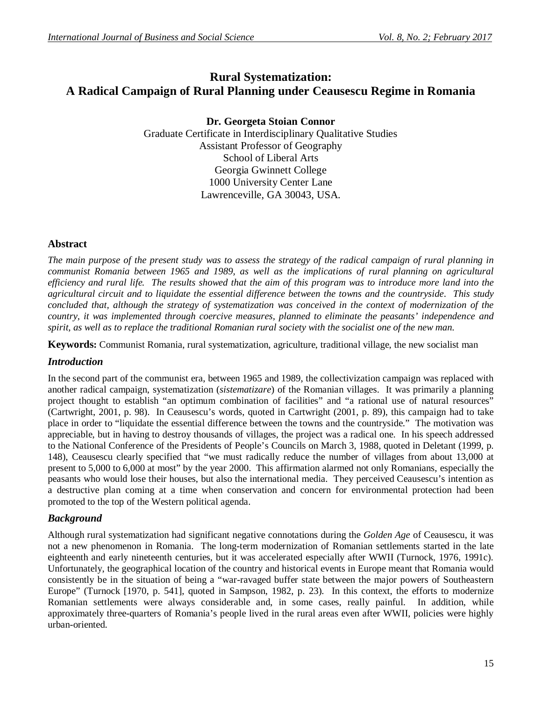# **Rural Systematization: A Radical Campaign of Rural Planning under Ceausescu Regime in Romania**

**Dr. Georgeta Stoian Connor** Graduate Certificate in Interdisciplinary Qualitative Studies Assistant Professor of Geography School of Liberal Arts Georgia Gwinnett College 1000 University Center Lane Lawrenceville, GA 30043, USA.

### **Abstract**

*The main purpose of the present study was to assess the strategy of the radical campaign of rural planning in communist Romania between 1965 and 1989, as well as the implications of rural planning on agricultural efficiency and rural life. The results showed that the aim of this program was to introduce more land into the agricultural circuit and to liquidate the essential difference between the towns and the countryside. This study concluded that, although the strategy of systematization was conceived in the context of modernization of the country, it was implemented through coercive measures, planned to eliminate the peasants' independence and spirit, as well as to replace the traditional Romanian rural society with the socialist one of the new man.*

**Keywords:** Communist Romania, rural systematization, agriculture, traditional village, the new socialist man

#### *Introduction*

In the second part of the communist era, between 1965 and 1989, the collectivization campaign was replaced with another radical campaign, systematization (*sistematizare*) of the Romanian villages. It was primarily a planning project thought to establish "an optimum combination of facilities" and "a rational use of natural resources" (Cartwright, 2001, p. 98). In Ceausescu's words, quoted in Cartwright (2001, p. 89), this campaign had to take place in order to "liquidate the essential difference between the towns and the countryside." The motivation was appreciable, but in having to destroy thousands of villages, the project was a radical one. In his speech addressed to the National Conference of the Presidents of People's Councils on March 3, 1988, quoted in Deletant (1999, p. 148), Ceausescu clearly specified that "we must radically reduce the number of villages from about 13,000 at present to 5,000 to 6,000 at most" by the year 2000. This affirmation alarmed not only Romanians, especially the peasants who would lose their houses, but also the international media. They perceived Ceausescu's intention as a destructive plan coming at a time when conservation and concern for environmental protection had been promoted to the top of the Western political agenda.

# *Background*

Although rural systematization had significant negative connotations during the *Golden Age* of Ceausescu, it was not a new phenomenon in Romania. The long-term modernization of Romanian settlements started in the late eighteenth and early nineteenth centuries, but it was accelerated especially after WWII (Turnock, 1976, 1991c). Unfortunately, the geographical location of the country and historical events in Europe meant that Romania would consistently be in the situation of being a "war-ravaged buffer state between the major powers of Southeastern Europe" (Turnock [1970, p. 541], quoted in Sampson, 1982, p. 23). In this context, the efforts to modernize Romanian settlements were always considerable and, in some cases, really painful. In addition, while approximately three-quarters of Romania's people lived in the rural areas even after WWII, policies were highly urban-oriented.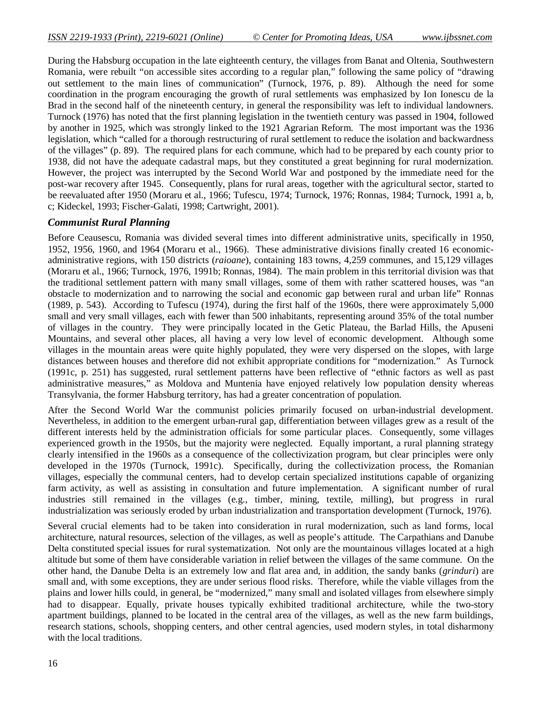During the Habsburg occupation in the late eighteenth century, the villages from Banat and Oltenia, Southwestern Romania, were rebuilt "on accessible sites according to a regular plan," following the same policy of "drawing out settlement to the main lines of communication" (Turnock, 1976, p. 89). Although the need for some coordination in the program encouraging the growth of rural settlements was emphasized by Ion Ionescu de la Brad in the second half of the nineteenth century, in general the responsibility was left to individual landowners. Turnock (1976) has noted that the first planning legislation in the twentieth century was passed in 1904, followed by another in 1925, which was strongly linked to the 1921 Agrarian Reform. The most important was the 1936 legislation, which "called for a thorough restructuring of rural settlement to reduce the isolation and backwardness of the villages" (p. 89). The required plans for each commune, which had to be prepared by each county prior to 1938, did not have the adequate cadastral maps, but they constituted a great beginning for rural modernization. However, the project was interrupted by the Second World War and postponed by the immediate need for the post-war recovery after 1945. Consequently, plans for rural areas, together with the agricultural sector, started to be reevaluated after 1950 (Moraru et al., 1966; Tufescu, 1974; Turnock, 1976; Ronnas, 1984; Turnock, 1991 a, b, c; Kideckel, 1993; Fischer-Galati, 1998; Cartwright, 2001).

### *Communist Rural Planning*

Before Ceausescu, Romania was divided several times into different administrative units, specifically in 1950, 1952, 1956, 1960, and 1964 (Moraru et al., 1966). These administrative divisions finally created 16 economicadministrative regions, with 150 districts (*raioane*), containing 183 towns, 4,259 communes, and 15,129 villages (Moraru et al., 1966; Turnock, 1976, 1991b; Ronnas, 1984). The main problem in this territorial division was that the traditional settlement pattern with many small villages, some of them with rather scattered houses, was "an obstacle to modernization and to narrowing the social and economic gap between rural and urban life" Ronnas (1989, p. 543). According to Tufescu (1974), during the first half of the 1960s, there were approximately 5,000 small and very small villages, each with fewer than 500 inhabitants, representing around 35% of the total number of villages in the country. They were principally located in the Getic Plateau, the Barlad Hills, the Apuseni Mountains, and several other places, all having a very low level of economic development. Although some villages in the mountain areas were quite highly populated, they were very dispersed on the slopes, with large distances between houses and therefore did not exhibit appropriate conditions for "modernization." As Turnock (1991c, p. 251) has suggested, rural settlement patterns have been reflective of "ethnic factors as well as past administrative measures," as Moldova and Muntenia have enjoyed relatively low population density whereas Transylvania, the former Habsburg territory, has had a greater concentration of population.

After the Second World War the communist policies primarily focused on urban-industrial development. Nevertheless, in addition to the emergent urban-rural gap, differentiation between villages grew as a result of the different interests held by the administration officials for some particular places. Consequently, some villages experienced growth in the 1950s, but the majority were neglected. Equally important, a rural planning strategy clearly intensified in the 1960s as a consequence of the collectivization program, but clear principles were only developed in the 1970s (Turnock, 1991c). Specifically, during the collectivization process, the Romanian villages, especially the communal centers, had to develop certain specialized institutions capable of organizing farm activity, as well as assisting in consultation and future implementation. A significant number of rural industries still remained in the villages (e.g., timber, mining, textile, milling), but progress in rural industrialization was seriously eroded by urban industrialization and transportation development (Turnock, 1976).

Several crucial elements had to be taken into consideration in rural modernization, such as land forms, local architecture, natural resources, selection of the villages, as well as people's attitude. The Carpathians and Danube Delta constituted special issues for rural systematization. Not only are the mountainous villages located at a high altitude but some of them have considerable variation in relief between the villages of the same commune. On the other hand, the Danube Delta is an extremely low and flat area and, in addition, the sandy banks (*grinduri*) are small and, with some exceptions, they are under serious flood risks. Therefore, while the viable villages from the plains and lower hills could, in general, be "modernized," many small and isolated villages from elsewhere simply had to disappear. Equally, private houses typically exhibited traditional architecture, while the two-story apartment buildings, planned to be located in the central area of the villages, as well as the new farm buildings, research stations, schools, shopping centers, and other central agencies, used modern styles, in total disharmony with the local traditions.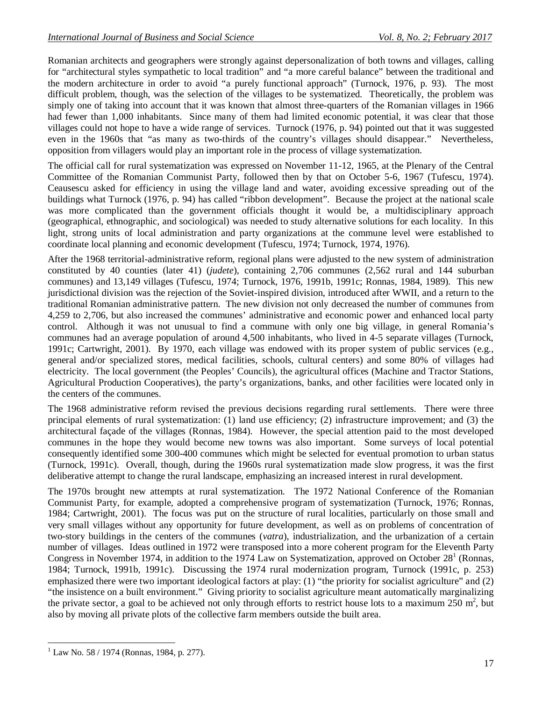Romanian architects and geographers were strongly against depersonalization of both towns and villages, calling for "architectural styles sympathetic to local tradition" and "a more careful balance" between the traditional and the modern architecture in order to avoid "a purely functional approach" (Turnock, 1976, p. 93). The most difficult problem, though, was the selection of the villages to be systematized. Theoretically, the problem was simply one of taking into account that it was known that almost three-quarters of the Romanian villages in 1966 had fewer than 1,000 inhabitants. Since many of them had limited economic potential, it was clear that those villages could not hope to have a wide range of services. Turnock (1976, p. 94) pointed out that it was suggested even in the 1960s that "as many as two-thirds of the country's villages should disappear." Nevertheless, opposition from villagers would play an important role in the process of village systematization.

The official call for rural systematization was expressed on November 11-12, 1965, at the Plenary of the Central Committee of the Romanian Communist Party, followed then by that on October 5-6, 1967 (Tufescu, 1974). Ceausescu asked for efficiency in using the village land and water, avoiding excessive spreading out of the buildings what Turnock (1976, p. 94) has called "ribbon development". Because the project at the national scale was more complicated than the government officials thought it would be, a multidisciplinary approach (geographical, ethnographic, and sociological) was needed to study alternative solutions for each locality. In this light, strong units of local administration and party organizations at the commune level were established to coordinate local planning and economic development (Tufescu, 1974; Turnock, 1974, 1976).

After the 1968 territorial-administrative reform, regional plans were adjusted to the new system of administration constituted by 40 counties (later 41) (*judete*), containing 2,706 communes (2,562 rural and 144 suburban communes) and 13,149 villages (Tufescu, 1974; Turnock, 1976, 1991b, 1991c; Ronnas, 1984, 1989). This new jurisdictional division was the rejection of the Soviet-inspired division, introduced after WWII, and a return to the traditional Romanian administrative pattern. The new division not only decreased the number of communes from 4,259 to 2,706, but also increased the communes' administrative and economic power and enhanced local party control. Although it was not unusual to find a commune with only one big village, in general Romania's communes had an average population of around 4,500 inhabitants, who lived in 4-5 separate villages (Turnock, 1991c; Cartwright, 2001). By 1970, each village was endowed with its proper system of public services (e.g., general and/or specialized stores, medical facilities, schools, cultural centers) and some 80% of villages had electricity. The local government (the Peoples' Councils), the agricultural offices (Machine and Tractor Stations, Agricultural Production Cooperatives), the party's organizations, banks, and other facilities were located only in the centers of the communes.

The 1968 administrative reform revised the previous decisions regarding rural settlements. There were three principal elements of rural systematization: (1) land use efficiency; (2) infrastructure improvement; and (3) the architectural façade of the villages (Ronnas, 1984). However, the special attention paid to the most developed communes in the hope they would become new towns was also important. Some surveys of local potential consequently identified some 300-400 communes which might be selected for eventual promotion to urban status (Turnock, 1991c). Overall, though, during the 1960s rural systematization made slow progress, it was the first deliberative attempt to change the rural landscape, emphasizing an increased interest in rural development.

The 1970s brought new attempts at rural systematization. The 1972 National Conference of the Romanian Communist Party, for example, adopted a comprehensive program of systematization (Turnock, 1976; Ronnas, 1984; Cartwright, 2001). The focus was put on the structure of rural localities, particularly on those small and very small villages without any opportunity for future development, as well as on problems of concentration of two-story buildings in the centers of the communes (*vatra*), industrialization, and the urbanization of a certain number of villages. Ideas outlined in 1972 were transposed into a more coherent program for the Eleventh Party Congress in November 1974, in addition to the 1974 Law on Systematization, approved on October  $28<sup>1</sup>$  (Ronnas, 1984; Turnock, 1991b, 1991c). Discussing the 1974 rural modernization program, Turnock (1991c, p. 253) emphasized there were two important ideological factors at play: (1) "the priority for socialist agriculture" and (2) "the insistence on a built environment." Giving priority to socialist agriculture meant automatically marginalizing the private sector, a goal to be achieved not only through efforts to restrict house lots to a maximum  $250 \text{ m}^2$ , but also by moving all private plots of the collective farm members outside the built area.

 $\overline{a}$ 

Law No. 58 / 1974 (Ronnas, 1984, p. 277).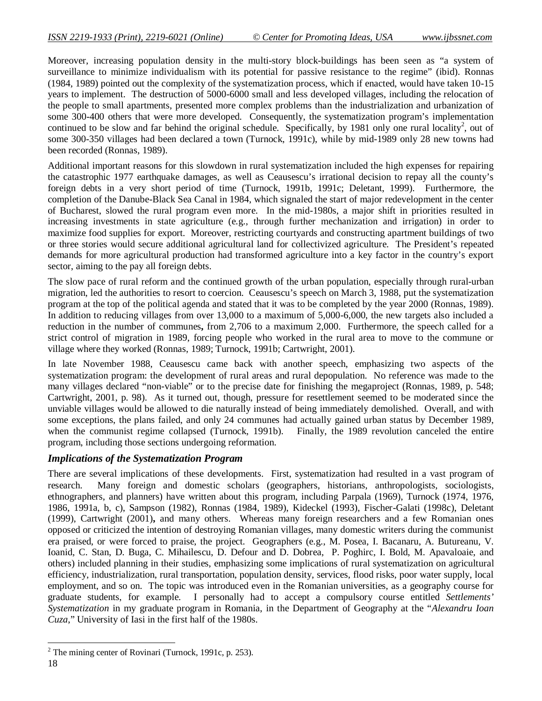Moreover, increasing population density in the multi-story block-buildings has been seen as "a system of surveillance to minimize individualism with its potential for passive resistance to the regime" (ibid). Ronnas (1984, 1989) pointed out the complexity of the systematization process, which if enacted, would have taken 10-15 years to implement. The destruction of 5000-6000 small and less developed villages, including the relocation of the people to small apartments, presented more complex problems than the industrialization and urbanization of some 300-400 others that were more developed. Consequently, the systematization program's implementation continued to be slow and far behind the original schedule. Specifically, by 1981 only one rural locality<sup>2</sup>, out of some 300-350 villages had been declared a town (Turnock, 1991c), while by mid-1989 only 28 new towns had been recorded (Ronnas, 1989).

Additional important reasons for this slowdown in rural systematization included the high expenses for repairing the catastrophic 1977 earthquake damages, as well as Ceausescu's irrational decision to repay all the county's foreign debts in a very short period of time (Turnock, 1991b, 1991c; Deletant, 1999). Furthermore, the completion of the Danube-Black Sea Canal in 1984, which signaled the start of major redevelopment in the center of Bucharest, slowed the rural program even more. In the mid-1980s, a major shift in priorities resulted in increasing investments in state agriculture (e.g., through further mechanization and irrigation) in order to maximize food supplies for export. Moreover, restricting courtyards and constructing apartment buildings of two or three stories would secure additional agricultural land for collectivized agriculture. The President's repeated demands for more agricultural production had transformed agriculture into a key factor in the country's export sector, aiming to the pay all foreign debts.

The slow pace of rural reform and the continued growth of the urban population, especially through rural-urban migration, led the authorities to resort to coercion. Ceausescu's speech on March 3, 1988, put the systematization program at the top of the political agenda and stated that it was to be completed by the year 2000 (Ronnas, 1989). In addition to reducing villages from over 13,000 to a maximum of 5,000-6,000, the new targets also included a reduction in the number of communes**,** from 2,706 to a maximum 2,000. Furthermore, the speech called for a strict control of migration in 1989, forcing people who worked in the rural area to move to the commune or village where they worked (Ronnas, 1989; Turnock, 1991b; Cartwright, 2001).

In late November 1988, Ceausescu came back with another speech, emphasizing two aspects of the systematization program: the development of rural areas and rural depopulation. No reference was made to the many villages declared "non-viable" or to the precise date for finishing the megaproject (Ronnas, 1989, p. 548; Cartwright, 2001, p. 98). As it turned out, though, pressure for resettlement seemed to be moderated since the unviable villages would be allowed to die naturally instead of being immediately demolished. Overall, and with some exceptions, the plans failed, and only 24 communes had actually gained urban status by December 1989, when the communist regime collapsed (Turnock, 1991b). Finally, the 1989 revolution canceled the entire program, including those sections undergoing reformation.

#### *Implications of the Systematization Program*

There are several implications of these developments. First, systematization had resulted in a vast program of research. Many foreign and domestic scholars (geographers, historians, anthropologists, sociologists, ethnographers, and planners) have written about this program, including Parpala (1969), Turnock (1974, 1976, 1986, 1991a, b, c), Sampson (1982), Ronnas (1984, 1989), Kideckel (1993), Fischer-Galati (1998c), Deletant (1999), Cartwright (2001)**,** and many others. Whereas many foreign researchers and a few Romanian ones opposed or criticized the intention of destroying Romanian villages, many domestic writers during the communist era praised, or were forced to praise, the project. Geographers (e.g., M. Posea, I. Bacanaru, A. Butureanu, V. Ioanid, C. Stan, D. Buga, C. Mihailescu, D. Defour and D. Dobrea, P. Poghirc, I. Bold, M. Apavaloaie, and others) included planning in their studies, emphasizing some implications of rural systematization on agricultural efficiency, industrialization, rural transportation, population density, services, flood risks, poor water supply, local employment, and so on. The topic was introduced even in the Romanian universities, as a geography course for graduate students, for example. I personally had to accept a compulsory course entitled *Settlements' Systematization* in my graduate program in Romania, in the Department of Geography at the "*Alexandru Ioan Cuza*," University of Iasi in the first half of the 1980s.

 $\overline{a}$  $2^2$  The mining center of Rovinari (Turnock, 1991c, p. 253).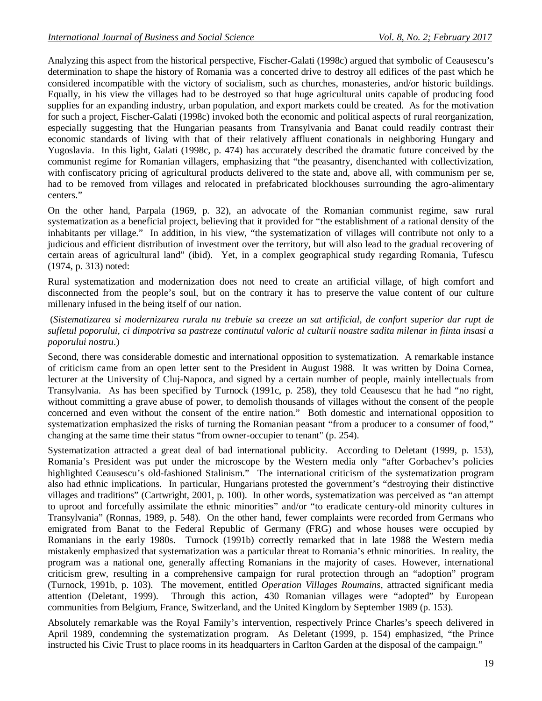Analyzing this aspect from the historical perspective, Fischer-Galati (1998c) argued that symbolic of Ceausescu's determination to shape the history of Romania was a concerted drive to destroy all edifices of the past which he considered incompatible with the victory of socialism, such as churches, monasteries, and/or historic buildings. Equally, in his view the villages had to be destroyed so that huge agricultural units capable of producing food supplies for an expanding industry, urban population, and export markets could be created. As for the motivation for such a project, Fischer-Galati (1998c) invoked both the economic and political aspects of rural reorganization, especially suggesting that the Hungarian peasants from Transylvania and Banat could readily contrast their economic standards of living with that of their relatively affluent conationals in neighboring Hungary and Yugoslavia. In this light, Galati (1998c, p. 474) has accurately described the dramatic future conceived by the communist regime for Romanian villagers, emphasizing that "the peasantry, disenchanted with collectivization, with confiscatory pricing of agricultural products delivered to the state and, above all, with communism per se, had to be removed from villages and relocated in prefabricated blockhouses surrounding the agro-alimentary centers."

On the other hand, Parpala (1969, p. 32), an advocate of the Romanian communist regime, saw rural systematization as a beneficial project, believing that it provided for "the establishment of a rational density of the inhabitants per village." In addition, in his view, "the systematization of villages will contribute not only to a judicious and efficient distribution of investment over the territory, but will also lead to the gradual recovering of certain areas of agricultural land" (ibid). Yet, in a complex geographical study regarding Romania, Tufescu (1974, p. 313) noted:

Rural systematization and modernization does not need to create an artificial village, of high comfort and disconnected from the people's soul, but on the contrary it has to preserve the value content of our culture millenary infused in the being itself of our nation.

#### (*Sistematizarea si modernizarea rurala nu trebuie sa creeze un sat artificial, de confort superior dar rupt de sufletul poporului, ci dimpotriva sa pastreze continutul valoric al culturii noastre sadita milenar in fiinta insasi a poporului nostru*.)

Second, there was considerable domestic and international opposition to systematization. A remarkable instance of criticism came from an open letter sent to the President in August 1988. It was written by Doina Cornea, lecturer at the University of Cluj-Napoca, and signed by a certain number of people, mainly intellectuals from Transylvania. As has been specified by Turnock (1991c, p. 258), they told Ceausescu that he had "no right, without committing a grave abuse of power, to demolish thousands of villages without the consent of the people concerned and even without the consent of the entire nation." Both domestic and international opposition to systematization emphasized the risks of turning the Romanian peasant "from a producer to a consumer of food," changing at the same time their status "from owner-occupier to tenant" (p. 254).

Systematization attracted a great deal of bad international publicity. According to Deletant (1999, p. 153), Romania's President was put under the microscope by the Western media only "after Gorbachev's policies highlighted Ceausescu's old-fashioned Stalinism." The international criticism of the systematization program also had ethnic implications. In particular, Hungarians protested the government's "destroying their distinctive villages and traditions" (Cartwright, 2001, p. 100). In other words, systematization was perceived as "an attempt to uproot and forcefully assimilate the ethnic minorities" and/or "to eradicate century-old minority cultures in Transylvania" (Ronnas, 1989, p. 548). On the other hand, fewer complaints were recorded from Germans who emigrated from Banat to the Federal Republic of Germany (FRG) and whose houses were occupied by Romanians in the early 1980s. Turnock (1991b) correctly remarked that in late 1988 the Western media mistakenly emphasized that systematization was a particular threat to Romania's ethnic minorities. In reality, the program was a national one, generally affecting Romanians in the majority of cases. However, international criticism grew, resulting in a comprehensive campaign for rural protection through an "adoption" program (Turnock, 1991b, p. 103). The movement, entitled *Operation Villages Roumains*, attracted significant media attention (Deletant, 1999). Through this action, 430 Romanian villages were "adopted" by European communities from Belgium, France, Switzerland, and the United Kingdom by September 1989 (p. 153).

Absolutely remarkable was the Royal Family's intervention, respectively Prince Charles's speech delivered in April 1989, condemning the systematization program. As Deletant (1999, p. 154) emphasized, "the Prince instructed his Civic Trust to place rooms in its headquarters in Carlton Garden at the disposal of the campaign."